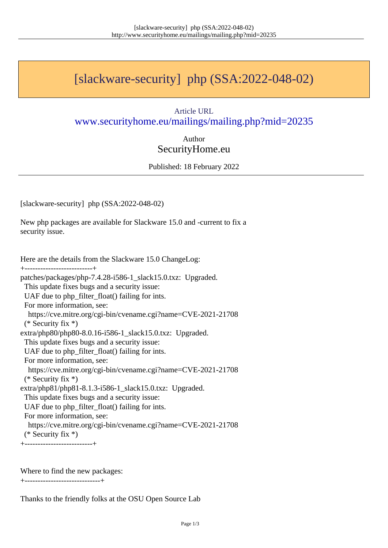## [slackware-security] php (SSA:2022-048-02)

## Article URL www.securityhome.eu/mailings/mailing.php?mid=20235

Author [SecurityHome.eu](http://www.securityhome.eu/mailings/mailing.php?mid=20235)

Published: 18 February 2022

[slackware-security] php (SSA:2022-048-02)

New php packages are available for Slackware 15.0 and -current to fix a security issue.

Here are the details from the Slackware 15.0 ChangeLog: +--------------------------+ patches/packages/php-7.4.28-i586-1\_slack15.0.txz: Upgraded. This update fixes bugs and a security issue: UAF due to php\_filter\_float() failing for ints. For more information, see: https://cve.mitre.org/cgi-bin/cvename.cgi?name=CVE-2021-21708 (\* Security fix \*) extra/php80/php80-8.0.16-i586-1\_slack15.0.txz: Upgraded. This update fixes bugs and a security issue: UAF due to php\_filter\_float() failing for ints. For more information, see: https://cve.mitre.org/cgi-bin/cvename.cgi?name=CVE-2021-21708 (\* Security fix \*) extra/php81/php81-8.1.3-i586-1\_slack15.0.txz: Upgraded. This update fixes bugs and a security issue: UAF due to php\_filter\_float() failing for ints. For more information, see: https://cve.mitre.org/cgi-bin/cvename.cgi?name=CVE-2021-21708 (\* Security fix \*) +--------------------------+

Where to find the new packages:

+-----------------------------+

Thanks to the friendly folks at the OSU Open Source Lab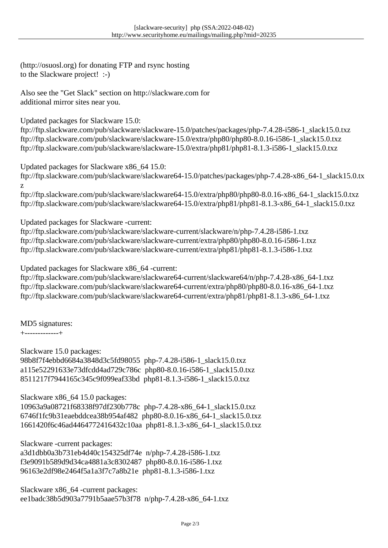(http://osuosl.org) for donating FTP and rsync hosting to the Slackware project! :-)

Also see the "Get Slack" section on http://slackware.com for additional mirror sites near you.

Updated packages for Slackware 15.0:

ftp://ftp.slackware.com/pub/slackware/slackware-15.0/patches/packages/php-7.4.28-i586-1\_slack15.0.txz ftp://ftp.slackware.com/pub/slackware/slackware-15.0/extra/php80/php80-8.0.16-i586-1\_slack15.0.txz ftp://ftp.slackware.com/pub/slackware/slackware-15.0/extra/php81/php81-8.1.3-i586-1\_slack15.0.txz

Updated packages for Slackware x86\_64 15.0:

ftp://ftp.slackware.com/pub/slackware/slackware64-15.0/patches/packages/php-7.4.28-x86\_64-1\_slack15.0.tx z

ftp://ftp.slackware.com/pub/slackware/slackware64-15.0/extra/php80/php80-8.0.16-x86\_64-1\_slack15.0.txz ftp://ftp.slackware.com/pub/slackware/slackware64-15.0/extra/php81/php81-8.1.3-x86\_64-1\_slack15.0.txz

Updated packages for Slackware -current:

ftp://ftp.slackware.com/pub/slackware/slackware-current/slackware/n/php-7.4.28-i586-1.txz ftp://ftp.slackware.com/pub/slackware/slackware-current/extra/php80/php80-8.0.16-i586-1.txz ftp://ftp.slackware.com/pub/slackware/slackware-current/extra/php81/php81-8.1.3-i586-1.txz

Updated packages for Slackware x86\_64 -current:

ftp://ftp.slackware.com/pub/slackware/slackware64-current/slackware64/n/php-7.4.28-x86\_64-1.txz ftp://ftp.slackware.com/pub/slackware/slackware64-current/extra/php80/php80-8.0.16-x86\_64-1.txz ftp://ftp.slackware.com/pub/slackware/slackware64-current/extra/php81/php81-8.1.3-x86\_64-1.txz

MD5 signatures:

+-------------+

Slackware 15.0 packages:

98b8f7f4ebbd6684a3848d3c5fd98055 php-7.4.28-i586-1\_slack15.0.txz a115e52291633e73dfcdd4ad729c786c php80-8.0.16-i586-1\_slack15.0.txz 8511217f7944165c345c9f099eaf33bd php81-8.1.3-i586-1\_slack15.0.txz

Slackware x86\_64 15.0 packages:

10963a9a08721f68338f97df230b778c php-7.4.28-x86\_64-1\_slack15.0.txz 6746f1fc9b31eaebddcea38b954af482 php80-8.0.16-x86\_64-1\_slack15.0.txz 1661420f6c46ad4464772416432c10aa php81-8.1.3-x86\_64-1\_slack15.0.txz

Slackware -current packages:

a3d1dbb0a3b731eb4d40c154325df74e n/php-7.4.28-i586-1.txz f3e9091b589d9d34ca4881a3c8302487 php80-8.0.16-i586-1.txz 96163e2df98e2464f5a1a3f7c7a8b21e php81-8.1.3-i586-1.txz

Slackware x86\_64 -current packages: ee1badc38b5d903a7791b5aae57b3f78 n/php-7.4.28-x86\_64-1.txz